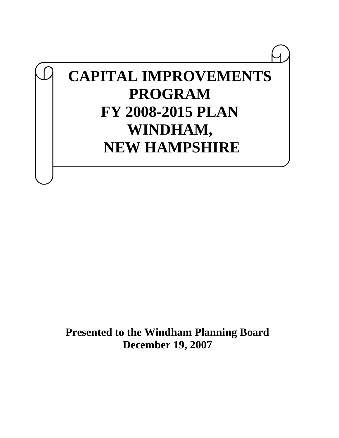# **CAPITAL IMPROVEMENTS PROGRAM FY 2008-2015 PLAN WINDHAM, NEW HAMPSHIRE**

**Presented to the Windham Planning Board December 19, 2007**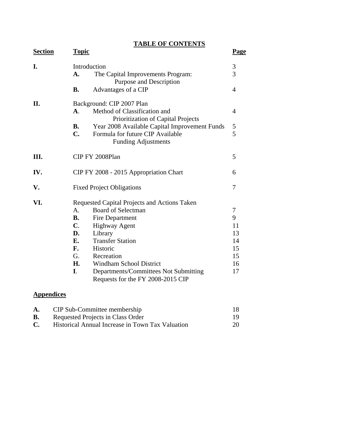**TABLE OF CONTENTS**

| <b>Section</b> | <b>Topic</b>   |                                                                    | <b>Page</b>    |  |  |  |  |  |  |  |  |
|----------------|----------------|--------------------------------------------------------------------|----------------|--|--|--|--|--|--|--|--|
| I.             |                | Introduction                                                       |                |  |  |  |  |  |  |  |  |
|                | A.             | The Capital Improvements Program:<br>Purpose and Description       | 3              |  |  |  |  |  |  |  |  |
|                | <b>B.</b>      | Advantages of a CIP                                                | $\overline{4}$ |  |  |  |  |  |  |  |  |
| П.             |                | Background: CIP 2007 Plan                                          |                |  |  |  |  |  |  |  |  |
|                | $\mathbf{A}$ . | Method of Classification and<br>Prioritization of Capital Projects | 4              |  |  |  |  |  |  |  |  |
|                | <b>B.</b>      | Year 2008 Available Capital Improvement Funds                      | 5              |  |  |  |  |  |  |  |  |
|                | C.             | Formula for future CIP Available                                   | 5              |  |  |  |  |  |  |  |  |
|                |                | <b>Funding Adjustments</b>                                         |                |  |  |  |  |  |  |  |  |
| Ш.             |                | CIP FY 2008Plan                                                    | 5              |  |  |  |  |  |  |  |  |
| IV.            |                | CIP FY 2008 - 2015 Appropriation Chart                             | 6              |  |  |  |  |  |  |  |  |
| V.             |                | <b>Fixed Project Obligations</b>                                   | 7              |  |  |  |  |  |  |  |  |
| VI.            |                | Requested Capital Projects and Actions Taken                       |                |  |  |  |  |  |  |  |  |
|                | $\mathsf{A}$ . | <b>Board of Selectman</b>                                          | 7              |  |  |  |  |  |  |  |  |
|                | <b>B.</b>      | Fire Department                                                    | 9              |  |  |  |  |  |  |  |  |
|                | $\mathbf{C}$ . | <b>Highway Agent</b>                                               | 11             |  |  |  |  |  |  |  |  |
|                | D.             | Library                                                            | 13             |  |  |  |  |  |  |  |  |
|                | E.             | <b>Transfer Station</b>                                            | 14             |  |  |  |  |  |  |  |  |
|                | F.             | Historic                                                           | 15             |  |  |  |  |  |  |  |  |
|                | G.             | Recreation                                                         | 15             |  |  |  |  |  |  |  |  |
|                | H.             | <b>Windham School District</b>                                     | 16             |  |  |  |  |  |  |  |  |
|                | $\mathbf{I}$ . | Departments/Committees Not Submitting                              | 17             |  |  |  |  |  |  |  |  |
|                |                | Requests for the FY 2008-2015 CIP                                  |                |  |  |  |  |  |  |  |  |

# **Appendices**

| A. | CIP Sub-Committee membership                     |    |
|----|--------------------------------------------------|----|
| В. | Requested Projects in Class Order                |    |
| C. | Historical Annual Increase in Town Tax Valuation | 20 |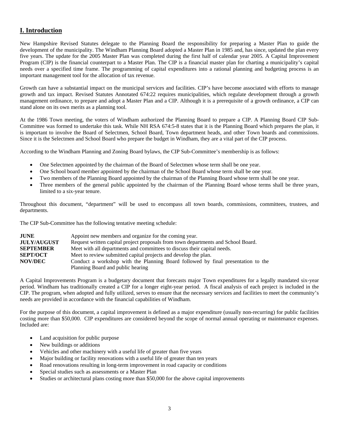## **I. Introduction**

New Hampshire Revised Statutes delegate to the Planning Board the responsibility for preparing a Master Plan to guide the development of the municipality. The Windham Planning Board adopted a Master Plan in 1985 and, has since, updated the plan every five years. The update for the 2005 Master Plan was completed during the first half of calendar year 2005. A Capital Improvement Program (CIP) is the financial counterpart to a Master Plan. The CIP is a financial master plan for charting a municipality's capital needs over a specified time frame. The programming of capital expenditures into a rational planning and budgeting process is an important management tool for the allocation of tax revenue.

Growth can have a substantial impact on the municipal services and facilities. CIP's have become associated with efforts to manage growth and tax impact. Revised Statutes Annotated 674:22 requires municipalities, which regulate development through a growth management ordinance, to prepare and adopt a Master Plan and a CIP. Although it is a prerequisite of a growth ordinance, a CIP can stand alone on its own merits as a planning tool.

At the 1986 Town meeting, the voters of Windham authorized the Planning Board to prepare a CIP. A Planning Board CIP Sub-Committee was formed to undertake this task. While NH RSA 674:5-8 states that it is the Planning Board which prepares the plan, it is important to involve the Board of Selectmen, School Board, Town department heads, and other Town boards and commissions. Since it is the Selectmen and School Board who prepare the budget in Windham, they are a vital part of the CIP process.

According to the Windham Planning and Zoning Board bylaws, the CIP Sub-Committee's membership is as follows:

- One Selectmen appointed by the chairman of the Board of Selectmen whose term shall be one year.
- One School board member appointed by the chairman of the School Board whose term shall be one year.
- Two members of the Planning Board appointed by the chairman of the Planning Board whose term shall be one year.
- Three members of the general public appointed by the chairman of the Planning Board whose terms shall be three years, limited to a six-year tenure.

Throughout this document, "department" will be used to encompass all town boards, commissions, committees, trustees, and departments.

The CIP Sub-Committee has the following tentative meeting schedule:

| <b>JUNE</b>        | Appoint new members and organize for the coming year.                             |
|--------------------|-----------------------------------------------------------------------------------|
| <b>JULY/AUGUST</b> | Request written capital project proposals from town departments and School Board. |
| <b>SEPTEMBER</b>   | Meet with all departments and committees to discuss their capital needs.          |
| <b>SEPT/OCT</b>    | Meet to review submitted capital projects and develop the plan.                   |
| <b>NOV/DEC</b>     | Conduct a workshop with the Planning Board followed by final presentation to the  |
|                    | Planning Board and public hearing                                                 |

A Capital Improvements Program is a budgetary document that forecasts major Town expenditures for a legally mandated six-year period. Windham has traditionally created a CIP for a longer eight-year period. A fiscal analysis of each project is included in the CIP. The program, when adopted and fully utilized, serves to ensure that the necessary services and facilities to meet the community's needs are provided in accordance with the financial capabilities of Windham.

For the purpose of this document, a capital improvement is defined as a major expenditure (usually non-recurring) for public facilities costing more than \$50,000. CIP expenditures are considered beyond the scope of normal annual operating or maintenance expenses. Included are:

- Land acquisition for public purpose
- New buildings or additions
- Vehicles and other machinery with a useful life of greater than five years
- Major building or facility renovations with a useful life of greater than ten years
- Road renovations resulting in long-term improvement in road capacity or conditions
- Special studies such as assessments or a Master Plan
- Studies or architectural plans costing more than \$50,000 for the above capital improvements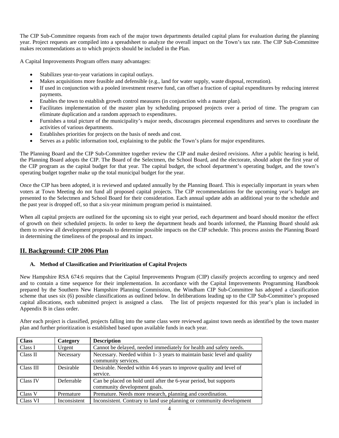The CIP Sub-Committee requests from each of the major town departments detailed capital plans for evaluation during the planning year. Project requests are compiled into a spreadsheet to analyze the overall impact on the Town's tax rate. The CIP Sub-Committee makes recommendations as to which projects should be included in the Plan.

A Capital Improvements Program offers many advantages:

- Stabilizes year-to-year variations in capital outlays.
- Makes acquisitions more feasible and defensible (e.g., land for water supply, waste disposal, recreation).
- If used in conjunction with a pooled investment reserve fund, can offset a fraction of capital expenditures by reducing interest payments.
- Enables the town to establish growth control measures (in conjunction with a master plan).
- Facilitates implementation of the master plan by scheduling proposed projects over a period of time. The program can eliminate duplication and a random approach to expenditures.
- Furnishes a total picture of the municipality's major needs, discourages piecemeal expenditures and serves to coordinate the activities of various departments.
- Establishes priorities for projects on the basis of needs and cost.
- Serves as a public information tool, explaining to the public the Town's plans for major expenditures.

The Planning Board and the CIP Sub-Committee together review the CIP and make desired revisions. After a public hearing is held, the Planning Board adopts the CIP. The Board of the Selectmen, the School Board, and the electorate, should adopt the first year of the CIP program as the capital budget for that year. The capital budget, the school department's operating budget, and the town's operating budget together make up the total municipal budget for the year.

Once the CIP has been adopted, it is reviewed and updated annually by the Planning Board. This is especially important in years when voters at Town Meeting do not fund all proposed capital projects. The CIP recommendations for the upcoming year's budget are presented to the Selectmen and School Board for their consideration. Each annual update adds an additional year to the schedule and the past year is dropped off, so that a six-year minimum program period is maintained.

When all capital projects are outlined for the upcoming six to eight year period, each department and board should monitor the effect of growth on their scheduled projects. In order to keep the department heads and boards informed, the Planning Board should ask them to review all development proposals to determine possible impacts on the CIP schedule. This process assists the Planning Board in determining the timeliness of the proposal and its impact.

#### **II. Background: CIP 2006 Plan**

#### **A. Method of Classification and Prioritization of Capital Projects**

New Hampshire RSA 674:6 requires that the Capital Improvements Program (CIP) classify projects according to urgency and need and to contain a time sequence for their implementation. In accordance with the Capital Improvements Programming Handbook prepared by the Southern New Hampshire Planning Commission, the Windham CIP Sub-Committee has adopted a classification scheme that uses six (6) possible classifications as outlined below. In deliberations leading up to the CIP Sub-Committee's proposed capital allocations, each submitted project is assigned a class. The list of projects requested for this year's plan is included in Appendix B in class order.

After each project is classified, projects falling into the same class were reviewed against town needs as identified by the town master plan and further prioritization is established based upon available funds in each year.

| <b>Class</b> | Category     | <b>Description</b>                                                                                |
|--------------|--------------|---------------------------------------------------------------------------------------------------|
| Class I      | Urgent       | Cannot be delayed, needed immediately for health and safety needs.                                |
| Class II     | Necessary    | Necessary. Needed within 1-3 years to maintain basic level and quality<br>community services.     |
| Class III    | Desirable    | Desirable. Needed within 4-6 years to improve quality and level of<br>service.                    |
| Class IV     | Deferrable   | Can be placed on hold until after the 6-year period, but supports<br>community development goals. |
| Class V      | Premature    | Premature. Needs more research, planning and coordination.                                        |
| Class VI     | Inconsistent | Inconsistent. Contrary to land use planning or community development                              |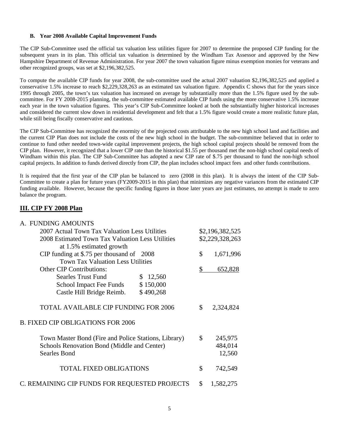#### **B. Year 2008 Available Capital Improvement Funds**

The CIP Sub-Committee used the official tax valuation less utilities figure for 2007 to determine the proposed CIP funding for the subsequent years in its plan. This official tax valuation is determined by the Windham Tax Assessor and approved by the New Hampshire Department of Revenue Administration. For year 2007 the town valuation figure minus exemption monies for veterans and other recognized groups, was set at \$2,196,382,525.

To compute the available CIP funds for year 2008, the sub-committee used the actual 2007 valuation \$2,196,382,525 and applied a conservative 1.5% increase to reach \$2,229,328,263 as an estimated tax valuation figure. Appendix C shows that for the years since 1995 through 2005, the town's tax valuation has increased on average by substantially more than the 1.5% figure used by the subcommittee. For FY 2008-2015 planning, the sub-committee estimated available CIP funds using the more conservative 1.5% increase each year in the town valuation figures. This year's CIP Sub-Committee looked at both the substantially higher historical increases and considered the current slow down in residential development and felt that a 1.5% figure would create a more realistic future plan, while still being fiscally conservative and cautious.

The CIP Sub-Committee has recognized the enormity of the projected costs attributable to the new high school land and facilities and the current CIP Plan does not include the costs of the new high school in the budget. The sub-committee believed that in order to continue to fund other needed town-wide capital improvement projects, the high school capital projects should be removed from the CIP plan. However, it recognized that a lower CIP rate than the historical \$1.55 per thousand met the non-high school capital needs of Windham within this plan. The CIP Sub-Committee has adopted a new CIP rate of \$.75 per thousand to fund the non-high school capital projects. In addition to funds derived directly from CIP, the plan includes school impact fees and other funds contributions.

It is required that the first year of the CIP plan be balanced to zero (2008 in this plan). It is always the intent of the CIP Sub-Committee to create a plan for future years (FY2009-2015 in this plan) that minimizes any negative variances from the estimated CIP funding available. However, because the specific funding figures in those later years are just estimates, no attempt is made to zero balance the program.

#### **III. CIP FY 2008 Plan**

#### A. FUNDING AMOUNTS

| 2007 Actual Town Tax Valuation Less Utilities<br>2008 Estimated Town Tax Valuation Less Utilities<br>at 1.5% estimated growth                              | \$2,196,382,525<br>\$2,229,328,263 |
|------------------------------------------------------------------------------------------------------------------------------------------------------------|------------------------------------|
| CIP funding at $$.75$ per thousand of 2008<br><b>Town Tax Valuation Less Utilities</b>                                                                     | \$<br>1,671,996                    |
| <b>Other CIP Contributions:</b><br><b>Searles Trust Fund</b><br>\$12,560<br>School Impact Fee Funds<br>\$150,000<br>Castle Hill Bridge Reimb.<br>\$490,268 | \$<br>652,828                      |
| TOTAL AVAILABLE CIP FUNDING FOR 2006<br><b>B. FIXED CIP OBLIGATIONS FOR 2006</b>                                                                           | \$<br>2,324,824                    |
| Town Master Bond (Fire and Police Stations, Library)<br>Schools Renovation Bond (Middle and Center)<br><b>Searles Bond</b>                                 | \$<br>245,975<br>484,014<br>12,560 |
| <b>TOTAL FIXED OBLIGATIONS</b>                                                                                                                             | \$<br>742,549                      |
| C. REMAINING CIP FUNDS FOR REQUESTED PROJECTS                                                                                                              | \$<br>1,582,275                    |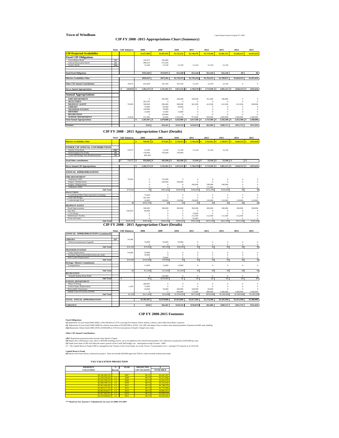#### **Town of Windham** Capital Improvements Program FY 2008

#### **CIP FY 2008 -2015 Appropriations Chart (Summary)**

|                                       |                           | <b>Notes CRF</b> Balances | 2008             | 2009          | 2010          | 2011          | 2012        | 2013         | 2014          | 2015           |
|---------------------------------------|---------------------------|---------------------------|------------------|---------------|---------------|---------------|-------------|--------------|---------------|----------------|
| <b>CIP Projected Availability</b>     |                           |                           | \$1,671,996      | \$1,697,076   | \$1,722,532   | \$1,748,370   | \$1,774,596 | \$1,801,215  | \$1,828,233   | \$1,855,656    |
| <b>Fixed CIP Obligations</b>          |                           |                           |                  |               |               |               |             |              |               |                |
| Town Master Bond                      | $\overline{(\mathbf{1})}$ |                           | 245,975          | 236,689       |               |               |             |              |               |                |
| <b>Schools Renovation Bond</b>        | (2)                       |                           | 484,014          | 475,026       |               |               |             |              |               |                |
| Searle's Bond                         | (3a)                      |                           | 12.560           | 12.160        | 12.160        | 12.144        | 12.144      | 12.144       |               |                |
|                                       |                           |                           |                  |               |               |               |             |              |               |                |
| <b>Total Fixed Obligations</b>        |                           |                           | \$742,549        | \$723,875     | \$12,160      | \$12,144      | \$12,144    | \$12,144     | \$0           | \$0            |
| <b>Effective Availability Other</b>   |                           |                           | \$929,447        | \$973,201     | \$1,710,372   | \$1,736,226   | \$1,762,452 | \$1,789,071  | \$1,828,233   | \$1,855,656    |
| <b>Other CIP Annual Contributions</b> |                           | 19,075                    | 652.828          | 162.160       | 162.160       | 12.144        | 12.144      | 12.144       | $\Omega$      | $\Omega$       |
| <b>Net to Annual Appropriations</b>   |                           | $(19.075)$ S<br>s         | $1,582,275$ \$   | $1.135.361$ S | 1,872,532 \$  | 1,748,370 \$  | 1.774.596 S | 1,801,215 S  | $1.828.233$ S | 1,855,656      |
| <b>Annual Appropriations</b>          |                           |                           |                  |               |               |               |             |              |               |                |
| <b>FIRE DEPARTMENT</b>                |                           |                           | $\Omega$         | 393,000       | 240,000       | 180,000       | 351,000     | 180,000      | $\Omega$      | $\Omega$       |
| <b>SELECTMEN</b>                      |                           |                           | 593,785          | $\Omega$      | $\Omega$      | $\Omega$      | $\Omega$    | $\Omega$     | $\Omega$      | $\Omega$       |
| <b>HIGHWAY AGENT</b>                  |                           | 70.830                    | 390,000          | 300,000       | 300,000       | 562,500       | 412.500     | 412.500      | 412.500       | 300,000        |
| <b>LIBRARY</b>                        |                           |                           | 70,000           | 95,000        | 50,000        | $\Omega$      | $\Omega$    | $\Omega$     | n             | $\Omega$       |
| <b>TRANSFER STATION</b>               |                           |                           | 104,080          | 78,000        | $\Omega$      |               |             |              |               |                |
| <b>HISTORIC</b>                       |                           |                           | 13,000           | 13,000        | 13,000        |               | $\Omega$    |              |               |                |
| <b>RECREATION</b>                     |                           | $\sim$                    | $\Omega$         | 150,000       | $\Omega$      | $\Omega$      | $\Omega$    | $\Omega$     | $\Omega$      |                |
| <b>SCHOOL DEPARTMENT</b>              |                           | 70.830                    | 411.082          | 50,000        | 1.050,000     | 875,000       | 950,000     | 1,000,000    | 1,000,000     | 1,000,000      |
| <b>Total Annual Appropriations</b>    |                           |                           | 1.581,947 S<br>s | $1.079.000$ S | $1.653,000$ S | $1.617.500$ S | 1,713,500 S | 1,592,500 \$ | 1.412,500     | 1,300,000<br>s |
| Variance                              |                           |                           | \$328            | \$56,361      | \$219.532     | \$130,870     | \$61,096    | \$208,715    | \$415.733     | \$555,656      |
|                                       |                           |                           |                  |               |               |               |             |              |               |                |

**CIP FY 2008 - 2015 Appropriation Chart (Details)**

|                                              |          | <b>Notes CRF</b> Balances |    | 2008                    | 2009                                      | 2010           | 2011        | 2012            | 2013            | 2014           | 2015           |
|----------------------------------------------|----------|---------------------------|----|-------------------------|-------------------------------------------|----------------|-------------|-----------------|-----------------|----------------|----------------|
| <b>Effective Availability Other</b>          |          |                           |    | $929.447$ S             | 973.201<br>l s                            | 1.710.372<br>s | 1.736.226   | 1.762.452<br>-8 | 1.789.071<br>-8 | 1.828.233<br>s | 1.855,656      |
|                                              |          |                           |    |                         |                                           |                |             |                 |                 |                |                |
| OTHER CIP ANNUAL CONTRIBUTIONS               |          |                           |    |                         |                                           |                |             |                 |                 |                |                |
| Searle's Trust Fund                          | $(3b)^*$ | 19,075                    |    | 12.560                  | 12.160                                    | 12.160         | 12.144      | 12.144          | 12.144          |                |                |
| School Impact Fee Funds                      | (4)      |                           |    | 150,000                 | 150,000                                   | 150,000        |             |                 |                 |                |                |
| Castle Hill Bridge State Reimbursement       | (5)      |                           |    | 490.268                 |                                           |                |             |                 |                 |                |                |
|                                              |          |                           |    |                         |                                           |                |             |                 |                 |                |                |
| <b>Total Other contributions</b>             |          | 19,075<br>s               | -S | 652,828<br>$\mathbf{s}$ | 162,160<br>ΙS                             | 162.160S       | $12.144$ S  | $12.144$ S      | $12.144$ S      | s              |                |
|                                              |          |                           |    |                         |                                           |                |             |                 |                 |                |                |
| <b>Net to Annual CIP Appropriations</b>      |          |                           | s  | $1,582,275$ \$          | 1.135.361<br>ΙS                           | 1,872,532 \$   | 1,748,370 S | 1,774,596 S     | 1,801,215 S     | 1.828.233 S    | 1,855,656      |
|                                              |          |                           |    |                         |                                           |                |             |                 |                 |                |                |
| <b>ANNUAL APPROPRIATIONS</b>                 |          |                           |    |                         |                                           |                |             |                 |                 |                |                |
| <b>FIRE DEPARTMENT</b>                       |          |                           |    |                         |                                           |                |             |                 |                 |                |                |
| Ambulance 2002                               |          | 70.830                    |    | o                       | 153,000                                   | $\Omega$       | $\Omega$    | $\Omega$        | $\theta$        | $\Omega$       |                |
| Engine 3 Replacement                         |          |                           |    |                         | 240,000                                   | 240,000        | $\Omega$    | $\Omega$        | o               |                |                |
| Engine 2 Replacement                         |          |                           |    | o                       | $\Omega$                                  | $\Omega$       | 180,000     | 180,000         | 180,000         | $\Omega$       |                |
| Ambulance 2006                               |          |                           |    | o                       | $\Omega$                                  | $\Omega$       | $\Omega$    | 171,000         | $\Omega$        | o              | $\Omega$       |
| Sub-Total                                    |          | \$70,830                  |    | S <sub>0</sub>          | \$393,000                                 | \$240,000      | \$180,000   | \$351,000       | \$180,000       | S <sub>0</sub> | S <sub>0</sub> |
| <b>SELECTMEN</b>                             |          |                           |    |                         |                                           |                |             |                 |                 |                |                |
| Lowell Road Bike Paths (attached to funding) |          |                           |    | 73,200                  | $\Omega$                                  | $\theta$       | $\Omega$    | $\theta$        | $\Omega$        | $\Omega$       | $\Omega$       |
| Castle Hill Bridge                           |          |                           |    | 501.585                 | $\Omega$                                  | $\Omega$       | $\Omega$    | $\Omega$        | $\Omega$        |                |                |
| Londonbridge Road                            |          |                           |    | 19,000                  | 138,000                                   | 134,000        | 130,000     | 126,000         | 122,000         | 118,000        | 114,000        |
|                                              |          | \$0                       |    | \$593,785               | \$0                                       | S <sub>0</sub> | \$0         | S <sub>0</sub>  | S <sub>0</sub>  | S <sub>0</sub> | S <sub>0</sub> |
| <b>HIGHWAY AGENT</b>                         |          |                           |    |                         |                                           |                |             |                 |                 |                |                |
| Road Improvements                            |          |                           |    | 300,000                 | 300,000                                   | 300,000        | 300,000     | 300,000         | 300,000         | 300,000        | 300,000        |
| Salt shed                                    |          | 240,843                   |    | 90,000                  | $\Omega$                                  | n              | $\Omega$    | $\Omega$        | $\Omega$        | o              | $\Omega$       |
| 1 Ton Dump                                   |          |                           |    |                         |                                           | $\Omega$       | 55,000      | $\Omega$        | $\Omega$        |                |                |
| Maintenance Facility                         |          |                           |    | o                       |                                           | O              | 112,500     | 112,500         | 112,500         | 112,500        |                |
| Front end loader                             |          |                           |    | n                       | $\Omega$                                  |                | 95,000      | $\Omega$        | $\Omega$        | n              | $\Omega$       |
| Sub-Total                                    |          | \$240,843                 |    | \$390,000               | \$300,000                                 | \$300,000      | \$562,500   | \$412,500       | \$412,500       | \$412,500      | \$300,000      |
|                                              |          | $- - - - -$               |    |                         | ---<br><b><i><u>All Community</u></i></b> | $-$<br>$\sim$  |             |                 |                 |                |                |

**CIP FY 2008 - 2015 Appropriation Chart (Details)**

**Notes CRF Balances 2008 2009 2010 2011 2012 2013 2014 2015 ANNUAL APPROPRIATIONS (continued)**

| ANNOAL AT LAOL ALATHONS (CORREGUE)          |         |          |                |             |                |                |                |                |                |                |
|---------------------------------------------|---------|----------|----------------|-------------|----------------|----------------|----------------|----------------|----------------|----------------|
|                                             |         |          |                |             |                |                |                |                |                |                |
| <b>LIBRARY</b>                              | $(6)^*$ | 24,306   |                |             |                |                |                |                |                |                |
| Deferred maintenance/Uperade                |         |          | 70,000         | 95,000      | 50,000         | $\theta$       | $\theta$       | $\theta$       | $\Omega$       |                |
|                                             |         |          |                | $\theta$    | $\Omega$       | $\theta$       | $\theta$       | $\theta$       | $\Omega$       |                |
| Sub-Total                                   |         | \$24,306 | \$70,000       | \$95,000    | \$50,000       | \$0            | \$0            | \$0            | S <sub>0</sub> | sol            |
| <b>TRANSFER STATION</b>                     |         |          |                |             |                |                |                |                |                |                |
| <b>Trailer Replacement</b>                  |         | 54,080   | 54,080         | $\Omega$    | o              | O              |                |                |                |                |
| Facilities Improvement/Renovation per study |         |          | 50,000         | O           |                |                |                |                |                |                |
| Skid Loader Replacement                     |         |          | $\Omega$       | 78,000      |                |                |                | $\Omega$       | o              |                |
| Sub-Total                                   |         | \$54,080 | \$104,080      | \$78,000    | S <sub>0</sub> | S <sub>0</sub> | S <sub>0</sub> | S <sub>0</sub> | S <sub>0</sub> | S <sub>0</sub> |
| Heritage / Historic Commision(s)            |         |          |                |             |                |                |                |                |                |                |
| Transportation                              |         |          | 13,000         | 13,000      | 13,000         | $\theta$       | $\theta$       | $\theta$       | $\theta$       | $\theta$       |
|                                             |         |          |                |             |                |                |                |                |                |                |
| Sub-Total                                   |         | \$0      | \$13,000       | \$13,000    | \$13,000       | S <sub>0</sub> | S <sub>0</sub> | S <sub>0</sub> | S <sub>0</sub> | S <sub>0</sub> |
| <b>RECREATION</b>                           |         |          |                |             |                |                |                |                |                |                |
| Expand Nashua Road fields                   |         |          | $\Omega$       | 150,000     | $\theta$       | $\Omega$       | $\theta$       | $\theta$       | $\theta$       |                |
| Sub-Total                                   |         | s        | S <sub>0</sub> | \$150,000   | \$0            | \$0            | \$0            | S <sub>0</sub> | S <sub>0</sub> | so l           |
| <b>SCHOOL DEPARTMENT</b>                    |         |          |                |             |                |                |                |                |                |                |
| Phase II Paving                             |         | ٠        | 286,082        | $\Omega$    | $\Omega$       | $\theta$       | $\Omega$       | $\Omega$       |                |                |
| School Septic Replacement                   |         | 1,439    | 75,000         | $\Omega$    | $\Omega$       | -C             |                |                |                |                |
| Relocatable Classrooms                      |         | ٠        | 50,000         | 50,000      | 200,000        | 100,000        | 50,000         |                |                |                |
| Middle School Facilities (\$14M)            |         |          |                | $\Omega$    | 850,000        | 775,000        | 900,000        | 1.000.000      | 1,000,000      | 1,000,000      |
| Sub-Total                                   |         | \$1,439  | \$411,082      | \$50,000    | \$1,050,000    | \$875,000      | \$950,000      | \$1,000,000    | \$1,000,000    | \$1,000,000    |
|                                             |         |          |                |             |                |                |                |                |                |                |
| TOTAL ANNUAL APPROPRIATIONS                 |         |          | \$1,581,947    | \$1,079,000 | \$1,653,000    | \$1,617,500    | \$1,713,500    | \$1,592,500    | \$1,412,500    | \$1,300,000    |
|                                             |         |          |                |             |                |                |                |                |                |                |
| <b>VARIANCE</b>                             |         |          | \$328          | \$56,361    | \$219,532      | \$130,870      | \$61,096       | \$208,715      | \$415,733      | \$555,656      |
|                                             |         |          |                |             |                |                |                |                |                |                |

#### **CIP FY 2008-2015 Footnotes**

(2) Represents 10 year bond (2000-2009) for schools renovation of \$5,992,000 at 4.65%. Use CRF and Impact fees to reduce total annual payments. Payment includ% state funding. **Fixed Obligations: (1)** Represents 10 year bond (2000-2009), of \$4,196,064 at 4.57% covering Fire Station, Police Station, Library, and Griffin Park Phase I projects. **(3a)** Represents 10year bond (2004-2010) of \$100,000 at 4.5% for renovations of Searle's Chapel west room.

**Other CIP Annual Contributions:**

**(3b)\*** Represents projected rental revenue from Searle's Chapel.

**(4)** Impact fees collected per year, above a \$50,000 standing reserve, are to be applied to the school bond payment. Fee collection is projected at \$150,000 per year. (5) Funds from State of NH will offset the state's portion of the Castle Hill bridge cost. Anticipated receipt of funds - 2008<br>(\*) The Capital Reserve Funds (CRFs), managed by the Trustees of the Trust Funds, are in the To

**(6)** Interest left from Library construction project. Does not include \$20,000 approved 3/06 by voters towards architectural study. **Capital Reserve Fund:**

 **TAX VALUATION PROJECTION**

| <b>PROPERTY</b>  | $\%$     | <b>YEAR</b> | <b>PROJECTED</b>    |                  |
|------------------|----------|-------------|---------------------|------------------|
| <b>VALUATION</b> | Increase |             | <b>CIP TAX RATE</b> | <b>AVAILABLE</b> |
|                  |          |             |                     |                  |
| \$2,196,382,525  |          | 2007        | \$0.75              | \$1,647.287      |
| \$2,229,328,263  | 1.5      | 2008        | \$0.75              | \$1,671,996      |
| \$2,262,768,187  | 1.5      | 2009        | \$0.75              | \$1,697,076      |
| \$2,296,709,710  | 1.5      | 2010        | \$0.75              | \$1,722,532      |
| \$2,331,160,355  | 1.5      | 2011        | \$0.75              | \$1,748,370      |
| \$2,366,127,761  | 1.5      | 2012        | \$0.75              | \$1,774,596      |
| \$2,401,619,677  | 1.5      | 2013        | \$0.75              | \$1,801,215      |
| \$2,437,643,972  | 1.5      | 2014        | \$0.75              | \$1,828,233      |
| \$2,474,208,632  | 1.5      | 2015        | \$0.75              | \$1,855,656      |

**\*\*\* Based on Tax Assessor's Valuation for tax year 4/1/2006-3/31/2007**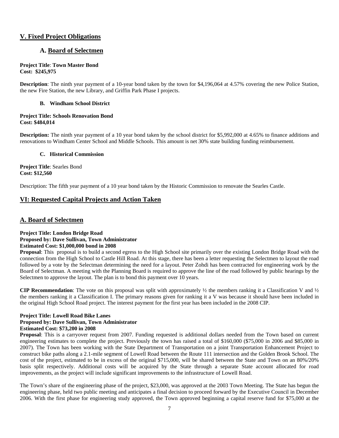#### **V. Fixed Project Obligations**

#### **A. Board of Selectmen**

#### **Project Title**: **Town Master Bond Cost: \$245,975**

**Description**: The ninth year payment of a 10-year bond taken by the town for \$4,196,064 at 4.57% covering the new Police Station, the new Fire Station, the new Library, and Griffin Park Phase I projects.

#### **B. Windham School District**

#### **Project Title: Schools Renovation Bond Cost: \$484,014**

**Description:** The ninth year payment of a 10 year bond taken by the school district for \$5,992,000 at 4.65% to finance additions and renovations to Windham Center School and Middle Schools. This amount is net 30% state building funding reimbursement.

#### **C. Historical Commission**

**Project Title**: Searles Bond **Cost: \$12,560**

Description: The fifth year payment of a 10 year bond taken by the Historic Commission to renovate the Searles Castle.

#### **VI: Requested Capital Projects and Action Taken**

#### **A. Board of Selectmen**

#### **Project Title: London Bridge Road Proposed by: Dave Sullivan, Town Administrator Estimated Cost: \$1,000,000 bond in 2008**

**Proposal**: This proposal is to build a second egress to the High School site primarily over the existing London Bridge Road with the connection from the High School to Castle Hill Road. At this stage, there has been a letter requesting the Selectmen to layout the road followed by a vote by the Selectman determining the need for a layout. Peter Zohdi has been contracted for engineering work by the Board of Selectman. A meeting with the Planning Board is required to approve the line of the road followed by public hearings by the Selectmen to approve the layout. The plan is to bond this payment over 10 years.

**CIP Recommendation**: The vote on this proposal was split with approximately ½ the members ranking it a Classification V and ½ the members ranking it a Classification I. The primary reasons given for ranking it a V was because it should have been included in the original High School Road project. The interest payment for the first year has been included in the 2008 CIP.

#### **Project Title: Lowell Road Bike Lanes Proposed by: Dave Sullivan, Town Administrator Estimated Cost: \$73,200 in 2008**

**Proposal**: This is a carryover request from 2007. Funding requested is additional dollars needed from the Town based on current engineering estimates to complete the project. Previously the town has raised a total of \$160,000 (\$75,000 in 2006 and \$85,000 in 2007). The Town has been working with the State Department of Transportation on a joint Transportation Enhancement Project to construct bike paths along a 2.1-mile segment of Lowell Road between the Route 111 intersection and the Golden Brook School. The cost of the project, estimated to be in excess of the original \$715,000, will be shared between the State and Town on an 80%/20% basis split respectively. Additional costs will be acquired by the State through a separate State account allocated for road improvements, as the project will include significant improvements to the infrastructure of Lowell Road.

The Town's share of the engineering phase of the project, \$23,000, was approved at the 2003 Town Meeting. The State has begun the engineering phase, held two public meeting and anticipates a final decision to proceed forward by the Executive Council in December 2006. With the first phase for engineering study approved, the Town approved beginning a capital reserve fund for \$75,000 at the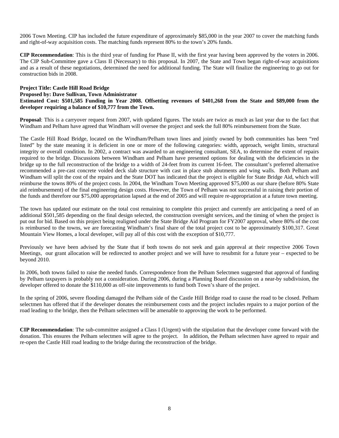2006 Town Meeting. CIP has included the future expenditure of approximately \$85,000 in the year 2007 to cover the matching funds and right-of-way acquisition costs. The matching funds represent 80% to the town's 20% funds.

**CIP Recommendation**: This is the third year of funding for Phase II, with the first year having been approved by the voters in 2006. The CIP Sub-Committee gave a Class II (Necessary) to this proposal. In 2007, the State and Town began right-of-way acquisitions and as a result of these negotiations, determined the need for additional funding. The State will finalize the engineering to go out for construction bids in 2008.

#### **Project Title: Castle Hill Road Bridge Proposed by: Dave Sullivan, Town Administrator Estimated Cost: \$501,585 Funding in Year 2008. Offsetting revenues of \$401,268 from the State and \$89,000 from the developer requiring a balance of \$10,777 from the Town.**

**Proposal**: This is a carryover request from 2007, with updated figures. The totals are twice as much as last year due to the fact that Windham and Pelham have agreed that Windham will oversee the project and seek the full 80% reimbursement from the State.

The Castle Hill Road Bridge, located on the Windham/Pelham town lines and jointly owned by both communities has been "red listed" by the state meaning it is deficient in one or more of the following categories: width, approach, weight limits, structural integrity or overall condition. In 2002, a contract was awarded to an engineering consultant, SEA, to determine the extent of repairs required to the bridge. Discussions between Windham and Pelham have presented options for dealing with the deficiencies in the bridge up to the full reconstruction of the bridge to a width of 24-feet from its current 16-feet. The consultant's preferred alternative recommended a pre-cast concrete voided deck slab structure with cast in place stub abutments and wing walls. Both Pelham and Windham will split the cost of the repairs and the State DOT has indicated that the project is eligible for State Bridge Aid, which will reimburse the towns 80% of the project costs. In 2004, the Windham Town Meeting approved \$75,000 as our share (before 80% State aid reimbursement) of the final engineering design costs. However, the Town of Pelham was not successful in raising their portion of the funds and therefore our \$75,000 appropriation lapsed at the end of 2005 and will require re-appropriation at a future town meeting.

The town has updated our estimate on the total cost remaining to complete this project and currently are anticipating a need of an additional \$501,585 depending on the final design selected, the construction oversight services, and the timing of when the project is put out for bid. Based on this project being realigned under the State Bridge Aid Program for FY2007 approval, where 80% of the cost is reimbursed to the towns, we are forecasting Windham's final share of the total project cost to be approximately \$100,317. Great Mountain View Homes, a local developer, will pay all of this cost with the exception of \$10,777.

Previously we have been advised by the State that if both towns do not seek and gain approval at their respective 2006 Town Meetings, our grant allocation will be redirected to another project and we will have to resubmit for a future year – expected to be beyond 2010.

In 2006, both towns failed to raise the needed funds. Correspondence from the Pelham Selectmen suggested that approval of funding by Pelham taxpayers is probably not a consideration. During 2006, during a Planning Board discussion on a near-by subdivision, the developer offered to donate the \$110,000 as off-site improvements to fund both Town's share of the project.

In the spring of 2006, severe flooding damaged the Pelham side of the Castle Hill Bridge road to cause the road to be closed. Pelham selectmen has offered that if the developer donates the reimbursement costs and the project includes repairs to a major portion of the road leading to the bridge, then the Pelham selectmen will be amenable to approving the work to be performed.

**CIP Recommendation**: The sub-committee assigned a Class I (Urgent) with the stipulation that the developer come forward with the donation. This ensures the Pelham selectmen will agree to the project. In addition, the Pelham selectmen have agreed to repair and re-open the Castle Hill road leading to the bridge during the reconstruction of the bridge.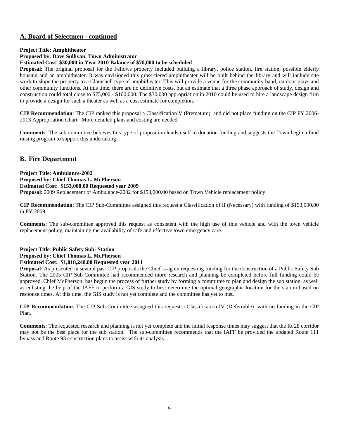#### **A. Board of Selectmen - continued**

#### **Project Title: Amphitheater**

**Proposed by: Dave Sullivan, Town Administrator** 

#### **Estimated Cost: \$30,000 in Year 2010 Balance of \$70,000 to be scheduled**

**Proposal**: The original proposal for the Fellows property included building a library, police station, fire station, possible elderly housing and an amphitheater. It was envisioned this grass tiered amphitheater will be built behind the library and will include site work to slope the property to a Clamshell type of amphitheater. This will provide a venue for the community band, outdoor plays and other community functions. At this time, there are no definitive costs, but an estimate that a three phase approach of study, design and construction could total close to \$75,000 - \$100,000. The \$30,000 appropriation in 2010 could be used to hire a landscape design firm to provide a design for such a theater as well as a cost estimate for completion.

**CIP Recommendation**: The CIP ranked this proposal a Classification V (Premature) and did not place funding on the CIP FY 2006- 2013 Appropriation Chart. More detailed plans and costing are needed.

**Comments**: The sub-committee believes this type of proposition lends itself to donation funding and suggests the Town begin a fund raising program to support this undertaking.

#### **B. Fire Department**

**Project Title**: **Ambulance-2002 Proposed by: Chief Thomas L. McPherson Estimated Cost: \$153,000.00 Requested year 2009 Proposal**: 2009 Replacement of Ambulance-2002 for \$153,000.00 based on Town Vehicle replacement policy

**CIP Recommendation**: The CIP Sub-Committee assigned this request a Classification of II (Necessary) with funding of \$153,000.00 in FY 2009.

**Comments**: The sub-committee approved this request as consistent with the high use of this vehicle and with the town vehicle replacement policy, maintaining the availability of safe and effective town emergency care.

#### **Project Title**: **Public Safety Sub- Station Proposed by: Chief Thomas L. McPherson Estimated Cost: \$1,018,240.00 Requested year 2011**

**Proposal**: As presented in several past CIP proposals the Chief is again requesting funding for the construction of a Public Safety Sub Station. The 2005 CIP Sub-Committee had recommended more research and planning be completed before full funding could be approved. Chief McPherson has begun the process of further study by forming a committee to plan and design the sub station, as well as enlisting the help of the IAFF to perform a GIS study to best determine the optimal geographic location for the station based on response times. At this time, the GIS study is not yet complete and the committee has yet to met.

**CIP Recommendation**: The CIP Sub-Committee assigned this request a Classification IV (Deferrable) with no funding in the CIP Plan.

**Comments**: The requested research and planning is not yet complete and the initial response times may suggest that the Rt 28 corridor may not be the best place for the sub station. The sub-committee recommends that the IAFF be provided the updated Route 111 bypass and Route 93 construction plans to assist with its analysis.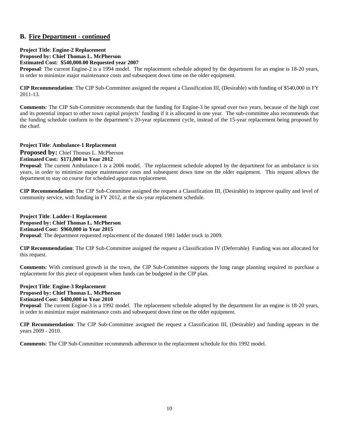#### **B. Fire Department - continued**

#### **Project Title**: **Engine-2 Replacement Proposed by: Chief Thomas L. McPherson Estimated Cost: \$540,000.00 Requested year 2007**

**Proposal**: The current Engine-2 is a 1994 model. The replacement schedule adopted by the department for an engine is 18-20 years, in order to minimize major maintenance costs and subsequent down time on the older equipment.

**CIP Recommendation**: The CIP Sub-Committee assigned the request a Classification III, (Desirable) with funding of \$540,000 in FY 2011-13.

**Comments**: The CIP Sub-Committee recommends that the funding for Engine-3 be spread over two years, because of the high cost and its potential impact to other town capital projects' funding if it is allocated in one year. The sub-committee also recommends that the funding schedule conform to the department's 20-year replacement cycle, instead of the 15-year replacement being proposed by the chief.

#### **Project Title**: **Ambulance-1 Replacement**

**Proposed by: Chief Thomas L. McPherson Estimated Cost: \$171,000 in Year 2012** 

**Proposal**: The current Ambulance-1 is a 2006 model. The replacement schedule adopted by the department for an ambulance is six years, in order to minimize major maintenance costs and subsequent down time on the older equipment. This request allows the department to stay on course for scheduled apparatus replacement.

**CIP Recommendation**: The CIP Sub-Committee assigned the request a Classification III, (Desirable) to improve quality and level of community service, with funding in FY 2012, at the six-year replacement schedule.

#### **Project Title**: **Ladder-1 Replacement Proposed by: Chief Thomas L. McPherson Estimated Cost: \$960,000 in Year 2015 Proposal**: The department requested replacement of the donated 1981 ladder truck in 2009.

**CIP Recommendation**: The CIP Sub-Committee assigned the request a Classification IV (Deferrable) Funding was not allocated for this request.

**Comments**: With continued growth in the town, the CIP Sub-Committee supports the long range planning required to purchase a replacement for this piece of equipment when funds can be budgeted in the CIP plan.

#### **Project Title**: **Engine-3 Replacement Proposed by: Chief Thomas L. McPherson Estimated Cost: \$480,000 in Year 2010**

**Proposal**: The current Engine-3 is a 1992 model. The replacement schedule adopted by the department for an engine is 18-20 years, in order to minimize major maintenance costs and subsequent down time on the older equipment.

**CIP Recommendation**: The CIP Sub-Committee assigned the request a Classification III, (Desirable) and funding appears in the years 2009 - 2010.

**Comments**: The CIP Sub-Committee recommends adherence to the replacement schedule for this 1992 model.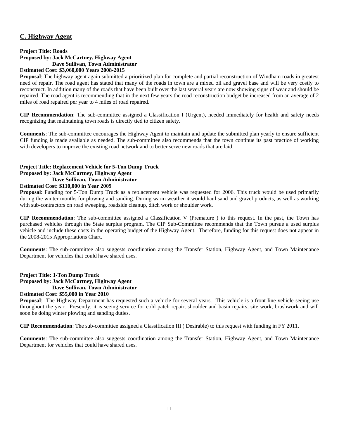#### **C. Highway Agent**

#### **Project Title: Roads Proposed by: Jack McCartney, Highway Agent Dave Sullivan, Town Administrator Estimated Cost: \$3,060,000 Years 2008-2015**

**Proposal**: The highway agent again submitted a prioritized plan for complete and partial reconstruction of Windham roads in greatest need of repair. The road agent has stated that many of the roads in town are a mixed oil and gravel base and will be very costly to reconstruct. In addition many of the roads that have been built over the last several years are now showing signs of wear and should be repaired. The road agent is recommending that in the next few years the road reconstruction budget be increased from an average of 2 miles of road repaired per year to 4 miles of road repaired.

**CIP Recommendation**: The sub-committee assigned a Classification I (Urgent), needed immediately for health and safety needs recognizing that maintaining town roads is directly tied to citizen safety.

**Comments**: The sub-committee encourages the Highway Agent to maintain and update the submitted plan yearly to ensure sufficient CIP funding is made available as needed. The sub-committee also recommends that the town continue its past practice of working with developers to improve the existing road network and to better serve new roads that are laid.

#### **Project Title: Replacement Vehicle for 5-Ton Dump Truck Proposed by: Jack McCartney, Highway Agent**

#### **Dave Sullivan, Town Administrator**

#### **Estimated Cost: \$110,000 in Year 2009**

**Proposal**: Funding for 5-Ton Dump Truck as a replacement vehicle was requested for 2006. This truck would be used primarily during the winter months for plowing and sanding. During warm weather it would haul sand and gravel products, as well as working with sub-contractors on road sweeping, roadside cleanup, ditch work or shoulder work.

**CIP Recommendation**: The sub-committee assigned a Classification V (Premature ) to this request. In the past, the Town has purchased vehicles through the State surplus program. The CIP Sub-Committee recommends that the Town pursue a used surplus vehicle and include these costs in the operating budget of the Highway Agent. Therefore, funding for this request does not appear in the 2008-2015 Appropriations Chart.

**Comments**: The sub-committee also suggests coordination among the Transfer Station, Highway Agent, and Town Maintenance Department for vehicles that could have shared uses.

#### **Project Title: 1-Ton Dump Truck Proposed by: Jack McCartney, Highway Agent Dave Sullivan, Town Administrator**

#### **Estimated Cost: \$55,000 in Year 2010**

**Proposal**: The Highway Department has requested such a vehicle for several years. This vehicle is a front line vehicle seeing use throughout the year. Presently, it is seeing service for cold patch repair, shoulder and basin repairs, site work, brushwork and will soon be doing winter plowing and sanding duties.

**CIP Recommendation**: The sub-committee assigned a Classification III ( Desirable) to this request with funding in FY 2011.

**Comments**: The sub-committee also suggests coordination among the Transfer Station, Highway Agent, and Town Maintenance Department for vehicles that could have shared uses.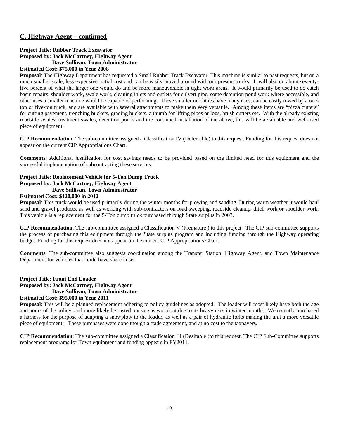#### **C. Highway Agent – continued**

#### **Project Title: Rubber Track Excavator Proposed by: Jack McCartney, Highway Agent Dave Sullivan, Town Administrator Estimated Cost: \$75,000 in Year 2008**

#### **Proposal**: The Highway Department has requested a Small Rubber Track Excavator. This machine is similar to past requests, but on a much smaller scale, less expensive initial cost and can be easily moved around with our present trucks. It will also do about seventyfive percent of what the larger one would do and be more maneuverable in tight work areas. It would primarily be used to do catch basin repairs, shoulder work, swale work, cleaning inlets and outlets for culvert pipe, some detention pond work where accessible, and other uses a smaller machine would be capable of performing. These smaller machines have many uses, can be easily towed by a oneton or five-ton truck, and are available with several attachments to make them very versatile. Among these items are "pizza cutters" for cutting pavement, trenching buckets, grading buckets, a thumb for lifting pipes or logs, brush cutters etc. With the already existing roadside swales, treatment swales, detention ponds and the continued installation of the above, this will be a valuable and well-used

**CIP Recommendation**: The sub-committee assigned a Classification IV (Deferrable) to this request. Funding for this request does not appear on the current CIP Appropriations Chart.

**Comments**: Additional justification for cost savings needs to be provided based on the limited need for this equipment and the successful implementation of subcontracting these services.

#### **Project Title: Replacement Vehicle for 5-Ton Dump Truck Proposed by: Jack McCartney, Highway Agent Dave Sullivan, Town Administrator**

#### **Estimated Cost: \$120,000 in 2012**

piece of equipment.

**Proposal**: This truck would be used primarily during the winter months for plowing and sanding. During warm weather it would haul sand and gravel products, as well as working with sub-contractors on road sweeping, roadside cleanup, ditch work or shoulder work. This vehicle is a replacement for the 5-Ton dump truck purchased through State surplus in 2003.

**CIP Recommendation**: The sub-committee assigned a Classification V (Premature ) to this project. The CIP sub-committee supports the process of purchasing this equipment through the State surplus program and including funding through the Highway operating budget. Funding for this request does not appear on the current CIP Appropriations Chart.

**Comments**: The sub-committee also suggests coordination among the Transfer Station, Highway Agent, and Town Maintenance Department for vehicles that could have shared uses.

#### **Project Title: Front End Loader Proposed by: Jack McCartney, Highway Agent Dave Sullivan, Town Administrator**

#### **Estimated Cost: \$95,000 in Year 2011**

**Proposal**: This will be a planned replacement adhering to policy guidelines as adopted. The loader will most likely have both the age and hours of the policy, and more likely be rusted out versus worn out due to its heavy uses in winter months. We recently purchased a harness for the purpose of adapting a snowplow to the loader, as well as a pair of hydraulic forks making the unit a more versatile piece of equipment. These purchases were done though a trade agreement, and at no cost to the taxpayers.

**CIP Recommendation**: The sub-committee assigned a Classification III (Desirable )to this request. The CIP Sub-Committee supports replacement programs for Town equipment and funding appears in FY2011.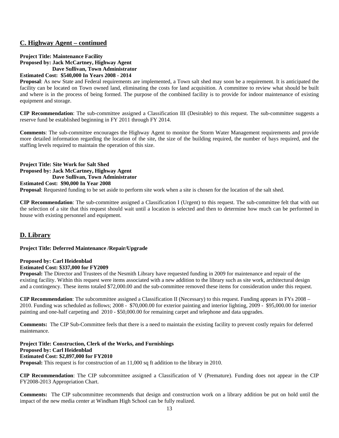#### **C. Highway Agent – continued**

#### **Project Title: Maintenance Facility Proposed by: Jack McCartney, Highway Agent Dave Sullivan, Town Administrator**

**Estimated Cost: \$540,000 In Years 2008 - 2014**

**Proposal**: As new State and Federal requirements are implemented, a Town salt shed may soon be a requirement. It is anticipated the facility can be located on Town owned land, eliminating the costs for land acquisition. A committee to review what should be built and where is in the process of being formed. The purpose of the combined facility is to provide for indoor maintenance of existing equipment and storage.

**CIP Recommendation**: The sub-committee assigned a Classification III (Desirable) to this request. The sub-committee suggests a reserve fund be established beginning in FY 2011 through FY 2014.

**Comments**: The sub-committee encourages the Highway Agent to monitor the Storm Water Management requirements and provide more detailed information regarding the location of the site, the size of the building required, the number of bays required, and the staffing levels required to maintain the operation of this size.

#### **Project Title: Site Work for Salt Shed Proposed by: Jack McCartney, Highway Agent Dave Sullivan, Town Administrator**

#### **Estimated Cost: \$90,000 In Year 2008**

**Proposal**: Requested funding to be set aside to perform site work when a site is chosen for the location of the salt shed.

**CIP Recommendation**: The sub-committee assigned a Classification I (Urgent) to this request. The sub-committee felt that with out the selection of a site that this request should wait until a location is selected and then to determine how much can be performed in house with existing personnel and equipment.

#### **D. Library**

#### **Project Title: Deferred Maintenance /Repair/Upgrade**

#### **Proposed by: Carl Heidenblad**

#### **Estimated Cost: \$337,000 for FY2009**

**Proposal:** The Director and Trustees of the Nesmith Library have requested funding in 2009 for maintenance and repair of the existing facility. Within this request were items associated with a new addition to the library such as site work, architectural design and a contingency. These items totaled \$72,000.00 and the sub-committee removed these items for consideration under this request.

**CIP Recommendation**: The subcommittee assigned a Classification II (Necessary) to this request. Funding appears in FYs 2008 – 2010. Funding was scheduled as follows; 2008 - \$70,000.00 for exterior painting and interior lighting, 2009 - \$95,000.00 for interior painting and one-half carpeting and 2010 - \$50,000.00 for remaining carpet and telephone and data upgrades.

**Comments:** The CIP Sub-Committee feels that there is a need to maintain the existing facility to prevent costly repairs for deferred maintenance.

**Project Title: Construction, Clerk of the Works, and Furnishings Proposed by: Carl Heidenblad Estimated Cost: \$2,897,000 for FY2010 Proposal:** This request is for construction of an 11,000 sq ft addition to the library in 2010.

**CIP Recommendation**: The CIP subcommittee assigned a Classification of V (Premature). Funding does not appear in the CIP FY2008-2013 Appropriation Chart.

**Comments:** The CIP subcommittee recommends that design and construction work on a library addition be put on hold until the impact of the new media center at Windham High School can be fully realized.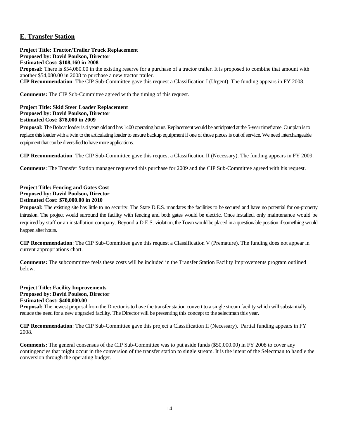#### **E. Transfer Station**

#### **Project Title: Tractor/Trailer Truck Replacement Proposed by: David Poulson, Director Estimated Cost: \$108,160 in 2008**

**Proposal:** There is \$54,080.00 in the existing reserve for a purchase of a tractor trailer. It is proposed to combine that amount with another \$54,080.00 in 2008 to purchase a new tractor trailer.

**CIP Recommendation**: The CIP Sub-Committee gave this request a Classification I (Urgent). The funding appears in FY 2008.

**Comments:** The CIP Sub-Committee agreed with the timing of this request.

#### **Project Title: Skid Steer Loader Replacement Proposed by: David Poulson, Director Estimated Cost: \$78,000 in 2009**

**Proposal:** The Bobcat loader is 4 years old and has 1400 operating hours. Replacement would be anticipated at the 5-year timeframe. Our plan is to replace this loader with a twin to the articulating loader to ensure backup equipment if one of those pieces is out of service. We need interchangeable equipment that can be diversified to have more applications.

**CIP Recommendation**: The CIP Sub-Committee gave this request a Classification II (Necessary). The funding appears in FY 2009.

**Comments**: The Transfer Station manager requested this purchase for 2009 and the CIP Sub-Committee agreed with his request.

#### **Project Title: Fencing and Gates Cost Proposed by: David Poulson, Director Estimated Cost: \$78,000.00 in 2010**

**Proposal:** The existing site has little to no security. The State D.E.S. mandates the facilities to be secured and have no potential for on-property intrusion. The project would surround the facility with fencing and both gates would be electric. Once installed, only maintenance would be required by staff or an installation company. Beyond a D.E.S. violation, the Town would be placed in a questionable position if something would happen after hours.

**CIP Recommendation**: The CIP Sub-Committee gave this request a Classification V (Premature). The funding does not appear in current appropriations chart.

**Comments:** The subcommittee feels these costs will be included in the Transfer Station Facility Improvements program outlined below.

#### **Project Title: Facility Improvements Proposed by: David Poulson, Director Estimated Cost: \$400,000.00**

**Proposal:** The newest proposal from the Director is to have the transfer station convert to a single stream facility which will substantially reduce the need for a new upgraded facility. The Director will be presenting this concept to the selectman this year.

**CIP Recommendation**: The CIP Sub-Committee gave this project a Classification II (Necessary). Partial funding appears in FY 2008.

**Comments:** The general consensus of the CIP Sub-Committee was to put aside funds (\$50,000.00) in FY 2008 to cover any contingencies that might occur in the conversion of the transfer station to single stream. It is the intent of the Selectman to handle the conversion through the operating budget.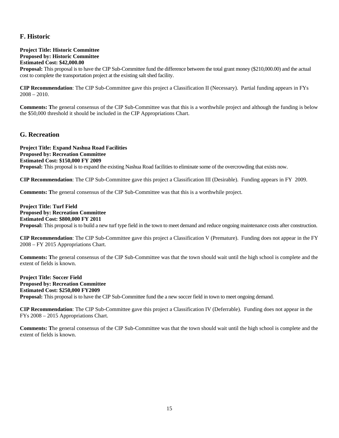#### **F. Historic**

#### **Project Title: Historic Committee Proposed by: Historic Committee Estimated Cost: \$42,000.00**

**Proposal:** This proposal is to have the CIP Sub-Committee fund the difference between the total grant money (\$210,000.00) and the actual cost to complete the transportation project at the existing salt shed facility.

**CIP Recommendation**: The CIP Sub-Committee gave this project a Classification II (Necessary). Partial funding appears in FYs 2008 – 2010.

**Comments: T**he general consensus of the CIP Sub-Committee was that this is a worthwhile project and although the funding is below the \$50,000 threshold it should be included in the CIP Appropriations Chart.

#### **G. Recreation**

**Project Title: Expand Nashua Road Facilities Proposed by: Recreation Committee Estimated Cost: \$150,000 FY 2009 Proposal:** This proposal is to expand the existing Nashua Road facilities to eliminate some of the overcrowding that exists now.

**CIP Recommendation**: The CIP Sub-Committee gave this project a Classification III (Desirable). Funding appears in FY 2009.

**Comments: T**he general consensus of the CIP Sub-Committee was that this is a worthwhile project.

**Project Title: Turf Field Proposed by: Recreation Committee Estimated Cost: \$800,000 FY 2011 Proposal:** This proposal is to build a new turf type field in the town to meet demand and reduce ongoing maintenance costs after construction.

**CIP Recommendation**: The CIP Sub-Committee gave this project a Classification V (Premature). Funding does not appear in the FY 2008 – FY 2015 Appropriations Chart.

**Comments: T**he general consensus of the CIP Sub-Committee was that the town should wait until the high school is complete and the extent of fields is known.

**Project Title: Soccer Field Proposed by: Recreation Committee Estimated Cost: \$250,000 FY2009 Proposal:** This proposal is to have the CIP Sub-Committee fund the a new soccer field in town to meet ongoing demand.

**CIP Recommendation**: The CIP Sub-Committee gave this project a Classification IV (Deferrable). Funding does not appear in the FYs 2008 – 2015 Appropriations Chart.

**Comments: T**he general consensus of the CIP Sub-Committee was that the town should wait until the high school is complete and the extent of fields is known.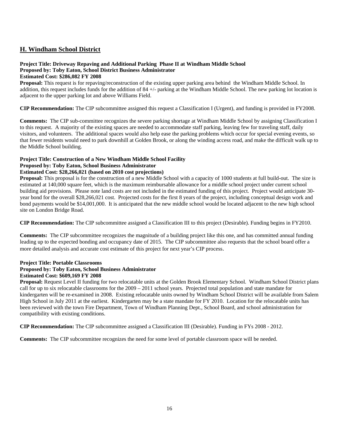#### **H. Windham School District**

## **Project Title: Driveway Repaving and Additional Parking Phase II at Windham Middle School Proposed by: Toby Eaton, School District Business Administrator**

#### **Estimated Cost: \$286,082 FY 2008**

**Proposal:** This request is for repaving/reconstruction of the existing upper parking area behind the Windham Middle School. In addition, this request includes funds for the addition of 84 +/- parking at the Windham Middle School. The new parking lot location is adjacent to the upper parking lot and above Williams Field.

**CIP Recommendation:** The CIP subcommittee assigned this request a Classification I (Urgent), and funding is provided in FY2008.

**Comments:** The CIP sub-committee recognizes the severe parking shortage at Windham Middle School by assigning Classification I to this request. A majority of the existing spaces are needed to accommodate staff parking, leaving few for traveling staff, daily visitors, and volunteers. The additional spaces would also help ease the parking problems which occur for special evening events, so that fewer residents would need to park downhill at Golden Brook, or along the winding access road, and make the difficult walk up to the Middle School building.

#### **Project Title: Construction of a New Windham Middle School Facility Proposed by: Toby Eaton, School Business Administrator**

#### **Estimated Cost: \$28,266,021 (based on 2010 cost projections)**

**Proposal:** This proposal is for the construction of a new Middle School with a capacity of 1000 students at full build-out. The size is estimated at 140,000 square feet, which is the maximum reimbursable allowance for a middle school project under current school building aid provisions. Please note land costs are not included in the estimated funding of this project. Project would anticipate 30 year bond for the overall \$28,266,021 cost. Projected costs for the first 8 years of the project, including conceptual design work and bond payments would be \$14,001,000. It is anticipated that the new middle school would be located adjacent to the new high school site on London Bridge Road.

**CIP Recommendation:** The CIP subcommittee assigned a Classification III to this project (Desirable). Funding begins in FY2010.

**Comments:** The CIP subcommittee recognizes the magnitude of a building project like this one, and has committed annual funding leading up to the expected bonding and occupancy date of 2015. The CIP subcommittee also requests that the school board offer a more detailed analysis and accurate cost estimate of this project for next year's CIP process.

#### **Project Title: Portable Classrooms**

#### **Proposed by: Toby Eaton, School Business Administrator**

#### **Estimated Cost: \$609,169 FY 2008**

**Proposal:** Request Level II funding for two relocatable units at the Golden Brook Elementary School. Windham School District plans call for up to six relocatable classrooms for the 2009 – 2011 school years. Projected total population and state mandate for kindergarten will be re-examined in 2008. Existing relocatable units owned by Windham School District will be available from Salem High School in July 2011 at the earliest. Kindergarten may be a state mandate for FY 2010. Location for the relocatable units has been reviewed with the town Fire Department, Town of Windham Planning Dept., School Board, and school administration for compatibility with existing conditions.

**CIP Recommendation:** The CIP subcommittee assigned a Classification III (Desirable). Funding in FYs 2008 - 2012.

**Comments:** The CIP subcommittee recognizes the need for some level of portable classroom space will be needed.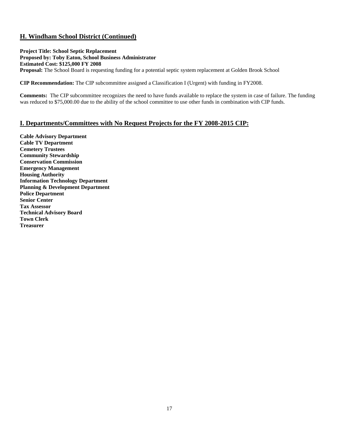#### **H. Windham School District (Continued)**

**Project Title: School Septic Replacement Proposed by: Toby Eaton, School Business Administrator Estimated Cost: \$125,000 FY 2008 Proposal:** The School Board is requesting funding for a potential septic system replacement at Golden Brook School

**CIP Recommendation:** The CIP subcommittee assigned a Classification I (Urgent) with funding in FY2008.

**Comments:** The CIP subcommittee recognizes the need to have funds available to replace the system in case of failure. The funding was reduced to \$75,000.00 due to the ability of the school committee to use other funds in combination with CIP funds.

#### **I. Departments/Committees with No Request Projects for the FY 2008-2015 CIP:**

**Cable Advisory Department Cable TV Department Cemetery Trustees Community Stewardship Conservation Commission Emergency Management Housing Authority Information Technology Department Planning & Development Department Police Department Senior Center Tax Assessor Technical Advisory Board Town Clerk Treasurer**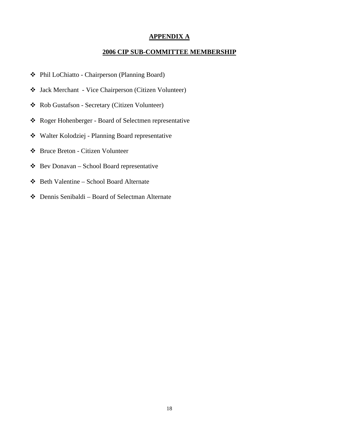#### **APPENDIX A**

#### **2006 CIP SUB-COMMITTEE MEMBERSHIP**

- Phil LoChiatto Chairperson (Planning Board)
- Jack Merchant Vice Chairperson (Citizen Volunteer)
- Rob Gustafson Secretary (Citizen Volunteer)
- Roger Hohenberger Board of Selectmen representative
- Walter Kolodziej Planning Board representative
- Bruce Breton Citizen Volunteer
- Bev Donavan School Board representative
- Beth Valentine School Board Alternate
- Dennis Senibaldi Board of Selectman Alternate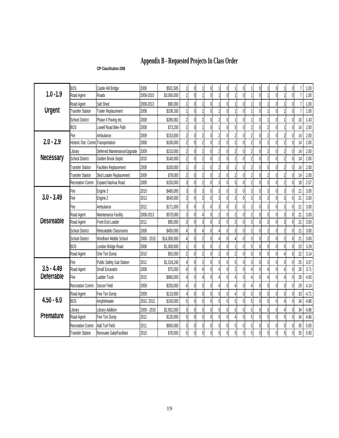# **Appendix B - Requested Projects In Class Order**

#### **CIP Classification 2008**

|                   | <b>BOS</b>                          | Castle Hill Bridge            | 2008        | \$501,585    | $\theta$       |                | 0        |                          | $\Omega$ |                          | 0                 |                          | 0                 |                          | 0l       |                | 0            | $\overline{7}$ | $1.00$ |
|-------------------|-------------------------------------|-------------------------------|-------------|--------------|----------------|----------------|----------|--------------------------|----------|--------------------------|-------------------|--------------------------|-------------------|--------------------------|----------|----------------|--------------|----------------|--------|
| $1.0 - 1.9$       | Road Agent                          | Roads                         | 2008-2015   | \$3,060,000  | $\overline{0}$ |                | $\theta$ |                          | $\theta$ |                          | $\theta$          |                          | $\theta$          |                          | Λ        |                | $\Omega$     | $\overline{1}$ | 1.00   |
|                   | Road Agent                          | Salt Shed                     | 2008-2013   | \$90,000     | $\mathbf 0$    |                |          |                          |          |                          | $\theta$          |                          | $\theta$          |                          |          |                |              | $\overline{7}$ | 1.00   |
| <b>Urgent</b>     | <b>Transfer Station</b>             | <b>Trailer Replacement</b>    | 2008        | \$108,160    | $\theta$       |                | $\theta$ |                          | $\theta$ |                          | $\theta$          |                          | $\Omega$          |                          | $\Omega$ |                | $\mathbf{0}$ | $\overline{7}$ | 1.00   |
|                   | <b>School District</b>              | Phase II Paving etc.          | 2008        | \$286,082    | $\mathbf{0}$   | $\overline{2}$ | 0        | $\overline{2}$           | Λ        |                          | $\theta$          |                          | $\Omega$          |                          | Λ        |                | $\mathbf{0}$ | 10             | 1.43   |
|                   | <b>BOS</b>                          | Lowell Road Bike Path         | 2008        | \$73,200     | $\mathbf 0$    |                |          |                          | Λ        | $5 \mid$                 | Ŋ                 |                          | $\Omega$          | $\overline{2}$           | Λ        |                | 0            | 14             | 2.00   |
|                   | Fire                                | Ambulance                     | 2009        | \$153,000    | $\overline{0}$ | $\overline{c}$ | 0        | $\overline{2}$           | Λ        |                          | 0                 |                          | 0                 |                          | Λ        | 2              | $\mathbf{0}$ | 14             | 2.00   |
| $2.0 - 2.9$       | Historic Dist. Comm. Transportation |                               | 2008        | \$106,000    | $\mathbf{0}$   | $\overline{2}$ |          | $\overline{c}$           |          | 2                        |                   |                          | $\theta$          | $\overline{\phantom{a}}$ |          | $\overline{2}$ |              | 14             | 2.00   |
|                   | Library                             | Deferred Maintenance/Upgrade  | 2009        | \$210,000    | $\mathbf{0}$   | $\overline{2}$ |          | $\overline{\phantom{a}}$ |          |                          |                   |                          | $\mathsf{\Omega}$ | $\mathfrak{p}$           |          |                |              | 14             | 2.00   |
| <b>Necessary</b>  | <b>School District</b>              | Golden Brook Septic           | 2010        | \$140,000    | $\mathbf{0}$   | $\overline{2}$ | Λ        | $\overline{2}$           | $\theta$ | $\overline{2}$           | $\theta$          | $\overline{\phantom{a}}$ | $\Omega$          | $\overline{c}$           | Λ        | $\overline{2}$ | $\mathbf{0}$ | 14             | 2.00   |
|                   | <b>Transfer Station</b>             | <b>Facilities Replacement</b> | 2008        | \$100,000    | $\mathbf{0}$   |                | N        | $\overline{2}$           |          |                          | $\mathsf{\Omega}$ |                          | $\Omega$          | 5                        |          | $\overline{2}$ | $\Omega$     | 14             | 2.00   |
|                   | <b>Transfer Station</b>             | Skid Loader Replacement       | 2009        | \$78,000     | 0              | $\overline{c}$ |          | $\overline{\phantom{a}}$ |          |                          | 0                 |                          | $\mathsf{\Omega}$ | $\overline{\phantom{a}}$ |          |                |              | 14             | 2.00   |
|                   | Recreation Comm.                    | Expand Nashua Road            | 2009        | \$150,000    | $\theta$       | $\overline{2}$ | 0        | $\overline{3}$           | $\Omega$ | $\overline{3}$           | $\overline{0}$    |                          | $\theta$          | 3                        | Λ        | $\overline{2}$ | $\mathbf{0}$ | 18             | 2.57   |
|                   | Fire                                | Engine 3                      | 2010        | \$480,000    | $\Omega$       | $\overline{3}$ |          | $\overline{3}$           |          |                          |                   |                          | $\theta$          |                          |          | 3              |              | 21             | 3.00   |
| $3.0 - 3.49$      | Fire                                | Engine 2                      | 2013        | \$540,000    | $\mathbf{0}$   | $\overline{3}$ |          | $\mathfrak{z}$           | 0        | $\overline{3}$           |                   |                          | $\Omega$          | 3                        |          | 3              |              | 21             | 3.00   |
|                   | Fire                                | Ambulance                     | 2012        | \$171,000    | $\theta$       | $\overline{3}$ | 0        | $\mathfrak{z}$           | Λ        | 3                        | $\mathbf{0}$      | 3                        | 0                 | 3                        | Λ        | 3              | $\mathbf{0}$ | 21             | 3.00   |
|                   | Road Agent                          | Maintenance Facility          | 2008-2013   | \$570,000    | $\overline{0}$ | 4              |          | $\overline{c}$           | N        |                          | $\theta$          |                          | $\theta$          | 5                        |          | 3              | $\mathbf{0}$ | 21             | 3.00   |
| <b>Desireable</b> | Road Agent                          | Front End Loader              | 2011        | \$95,000     | $\mathbf{0}$   | 3              | Λ        | $\overline{3}$           | $\theta$ | $\overline{3}$           | Λ                 |                          | $\Omega$          | 3                        | Λ        | 3              |              | 21             | 3.00   |
|                   | <b>School District</b>              | Relocatable Classrooms        | 2008        | \$450,000    | 0              | $\overline{4}$ | 0        | $\overline{4}$           | Λ        |                          | $\theta$          |                          | 0                 | $\overline{2}$           | Λ        | 2              | $\Omega$     | 21             | 3.00   |
|                   | <b>School District</b>              | Windham Middle School         | 2008 - 2015 | \$14,000,000 | $\mathbf{0}$   | $\overline{2}$ |          |                          | Λ        |                          | $\mathbf{0}$      |                          | $\Omega$          | $\overline{\phantom{a}}$ |          | $\overline{2}$ | 0            | 21             | 3.00   |
|                   | <b>BOS</b>                          | London Bridge Road            | 2008        | \$1,000,000  | 0              | $\overline{5}$ |          |                          |          |                          | 0                 |                          |                   | 5                        |          | 5              |              | 23             | 3.29   |
|                   | Road Agent                          | One Ton Dump                  | 2010        | \$55,000     | $\overline{0}$ | $\overline{2}$ | $\theta$ | $\overline{c}$           | $\Omega$ | $\overline{2}$           | $\theta$          | 5                        | $\theta$          | 5                        | U        |                | $\Omega$     | 22             | 3.14   |
|                   | Fire                                | Public Safety Sub Station     | 2011        | \$1,018,240  | $\mathbf{0}$   | $\overline{2}$ | 0        | 5                        | Λ        |                          |                   |                          | $\Omega$          | 3                        |          |                |              | 25             | 3.57   |
| $3.5 - 4.49$      | Road Agent                          | Small Excavator               | 2008        | \$75,000     | $\pmb{0}$      |                |          | 4                        | Λ        | $\overline{\mathcal{L}}$ | 0                 |                          | $\Omega$          |                          | U        |                |              | 26             | 3.71   |
| <b>Deferrable</b> | Fire                                | Ladder Truck                  | 2015        | \$960,000    | $\overline{0}$ | 4              | $\theta$ | $\overline{4}$           | $\Omega$ |                          | $\theta$          |                          | $\Omega$          |                          | U        |                | $\Omega$     | 28             | 4.00   |
|                   | Recreation Comm.                    | Soccer Field                  | 2009        | \$250,000    | $\overline{0}$ | $\overline{5}$ |          | 4                        | N        |                          | $\theta$          |                          | $\Omega$          | 5                        |          | 3              |              | 29             | 4.14   |
|                   | Road Agent                          | Five Ton Dump                 | 2009        | \$110,000    | $\theta$       | $\overline{5}$ |          | 5                        |          |                          | $\overline{0}$    |                          | $\mathsf{\Omega}$ | 5                        |          | 5              |              | 33             | 4.71   |
| $4.50 - 6.0$      | <b>BOS</b>                          | Amphitheater                  | 2010, 2013  | \$100,000    | $\theta$       | $\overline{5}$ | Λ        | 5                        | Λ        | $5 \mid$                 | $\theta$          | 5                        | $\Omega$          | 5                        | Λ        |                | $\Omega$     | 34             | 4.86   |
|                   | Library                             | Library Addition              | 2009 - 2010 | \$2,952,000  | $\mathbf{0}$   | 5              | $\theta$ | 5                        | $\Omega$ |                          |                   |                          | $\Omega$          | 5                        |          |                | 0            | 34             | 4.86   |
| <b>Premature</b>  | Road Agent                          | Five Ton Dump                 | 2012        | \$120,000    | $\mathbf 0$    | 5              | $\Omega$ | 5                        | Λ        |                          | $\overline{0}$    |                          | $\theta$          | 5                        | U        | 5              |              | 34             | 4.86   |
|                   | Recreation Comm.                    | Add Turf Field                | 2011        | \$800,000    | 0              | 5              | 0        | 5                        |          | 5                        | $\mathbf{0}$      | 5                        | 0                 | 5                        |          | 5              | Λ            | 35             | 5.00   |
|                   | <b>Transfer Station</b>             | Renovate Gate/Facilities      | 2010        | \$78,000     | $\overline{0}$ | 5              | 0        | 5                        |          | $5\overline{)}$          | 0                 |                          | O                 | 5                        | 01       | 5              |              | 35             | 5.00   |